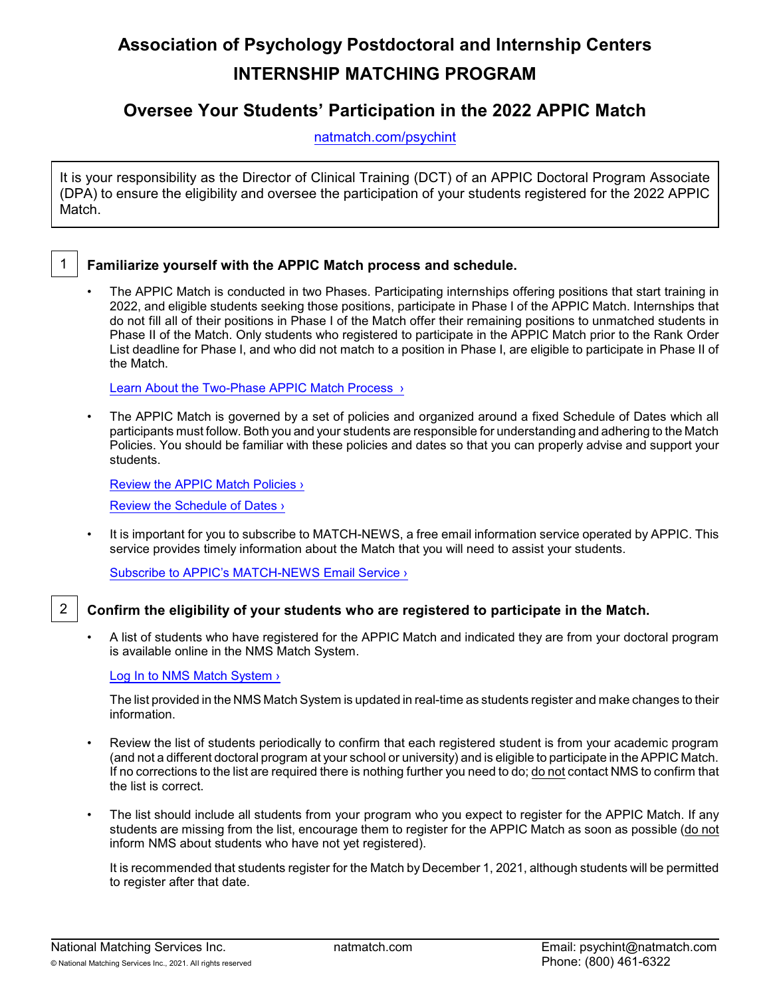# **Association of Psychology Postdoctoral and Internship Centers INTERNSHIP MATCHING PROGRAM**

## **Oversee Your Students' Participation in the 2022 APPIC Match**

[natmatch.com/psychint](https://natmatch.com/psychint)

It is your responsibility as the Director of Clinical Training (DCT) of an APPIC Doctoral Program Associate (DPA) to ensure the eligibility and oversee the participation of your students registered for the 2022 APPIC Match.



## 1 **Familiarize yourself with the APPIC Match process and schedule.**

• The APPIC Match is conducted in two Phases. Participating internships offering positions that start training in 2022, and eligible students seeking those positions, participate in Phase I of the APPIC Match. Internships that do not fill all of their positions in Phase I of the Match offer their remaining positions to unmatched students in Phase II of the Match. Only students who registered to participate in the APPIC Match prior to the Rank Order List deadline for Phase I, and who did not match to a position in Phase I, are eligible to participate in Phase II of the Match.

Learn About the Two-Phase APPIC Match Process >

• The APPIC Match is governed by a set of policies and organized around a fixed Schedule of Dates which all participants must follow. Both you and your students are responsible for understanding and adhering to the Match Policies. You should be familiar with these policies and dates so that you can properly advise and support your students.

[Review the APPIC Match Policies ›](https://www.appic.org/Internships/Match/Match-Policies)

[Review the Schedule of Dates ›](https://natmatch.com/psychint/schedule.html)

• It is important for you to subscribe to MATCH-NEWS, a free email information service operated by APPIC. This service provides timely information about the Match that you will need to assist your students.

Subscribe to APPIC's MATCH-NEWS Email Service >

## 2 **Confirm the eligibility of your students who are registered to participate in the Match.**

• A list of students who have registered for the APPIC Match and indicated they are from your doctoral program is available online in the NMS Match System.

#### [Log In to NMS Match System ›](https://natmatch.com/psychint/login.html)

The list provided in the NMS Match System is updated in real-time as students register and make changes to their information.

- Review the list of students periodically to confirm that each registered student is from your academic program (and not a different doctoral program at your school or university) and is eligible to participate in the APPIC Match. If no corrections to the list are required there is nothing further you need to do; do not contact NMS to confirm that the list is correct.
- The list should include all students from your program who you expect to register for the APPIC Match. If any students are missing from the list, encourage them to register for the APPIC Match as soon as possible (do not inform NMS about students who have not yet registered).

It is recommended that students register for the Match by December 1, 2021, although students will be permitted to register after that date.